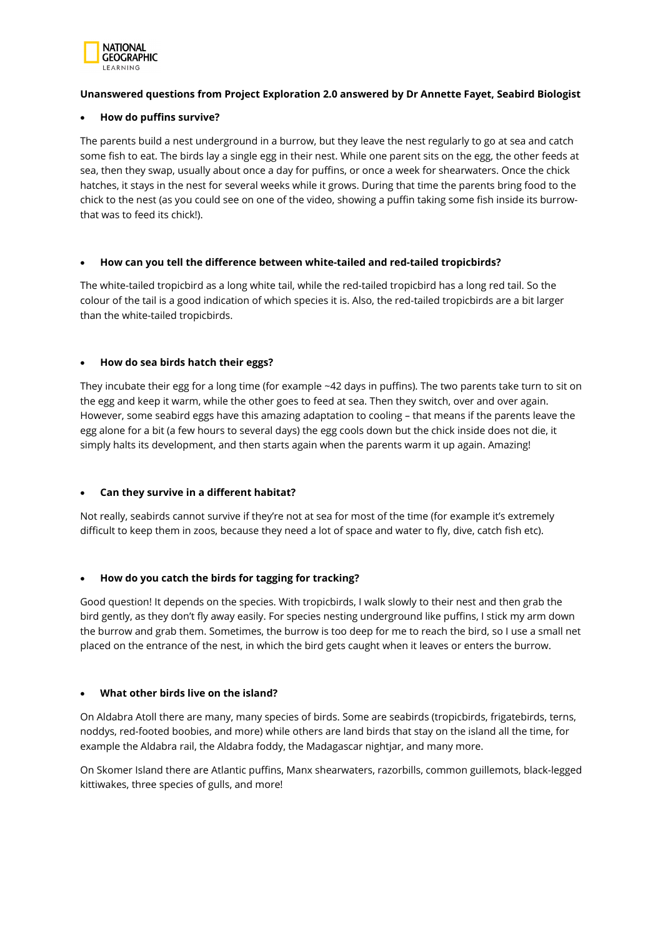

# **Unanswered questions from Project Exploration 2.0 answered by Dr Annette Fayet, Seabird Biologist**

### • **How do puffins survive?**

The parents build a nest underground in a burrow, but they leave the nest regularly to go at sea and catch some fish to eat. The birds lay a single egg in their nest. While one parent sits on the egg, the other feeds at sea, then they swap, usually about once a day for puffins, or once a week for shearwaters. Once the chick hatches, it stays in the nest for several weeks while it grows. During that time the parents bring food to the chick to the nest (as you could see on one of the video, showing a puffin taking some fish inside its burrowthat was to feed its chick!).

### • **How can you tell the difference between white-tailed and red-tailed tropicbirds?**

The white-tailed tropicbird as a long white tail, while the red-tailed tropicbird has a long red tail. So the colour of the tail is a good indication of which species it is. Also, the red-tailed tropicbirds are a bit larger than the white-tailed tropicbirds.

# • **How do sea birds hatch their eggs?**

They incubate their egg for a long time (for example ~42 days in puffins). The two parents take turn to sit on the egg and keep it warm, while the other goes to feed at sea. Then they switch, over and over again. However, some seabird eggs have this amazing adaptation to cooling – that means if the parents leave the egg alone for a bit (a few hours to several days) the egg cools down but the chick inside does not die, it simply halts its development, and then starts again when the parents warm it up again. Amazing!

# • **Can they survive in a different habitat?**

Not really, seabirds cannot survive if they're not at sea for most of the time (for example it's extremely difficult to keep them in zoos, because they need a lot of space and water to fly, dive, catch fish etc).

# • **How do you catch the birds for tagging for tracking?**

Good question! It depends on the species. With tropicbirds, I walk slowly to their nest and then grab the bird gently, as they don't fly away easily. For species nesting underground like puffins, I stick my arm down the burrow and grab them. Sometimes, the burrow is too deep for me to reach the bird, so I use a small net placed on the entrance of the nest, in which the bird gets caught when it leaves or enters the burrow.

# • **What other birds live on the island?**

On Aldabra Atoll there are many, many species of birds. Some are seabirds (tropicbirds, frigatebirds, terns, noddys, red-footed boobies, and more) while others are land birds that stay on the island all the time, for example the Aldabra rail, the Aldabra foddy, the Madagascar nightjar, and many more.

On Skomer Island there are Atlantic puffins, Manx shearwaters, razorbills, common guillemots, black-legged kittiwakes, three species of gulls, and more!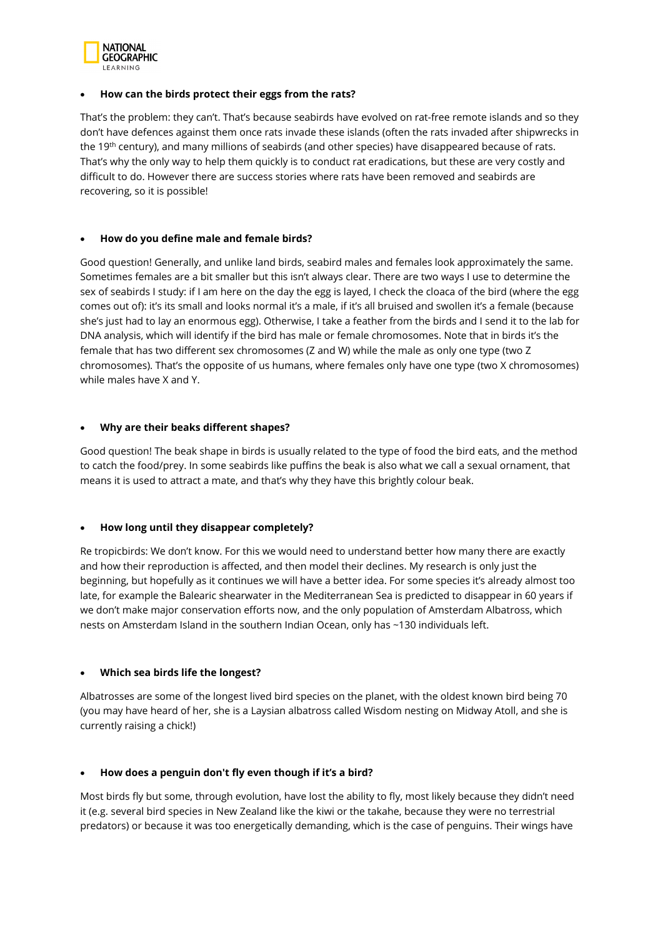

#### • **How can the birds protect their eggs from the rats?**

That's the problem: they can't. That's because seabirds have evolved on rat-free remote islands and so they don't have defences against them once rats invade these islands (often the rats invaded after shipwrecks in the 19th century), and many millions of seabirds (and other species) have disappeared because of rats. That's why the only way to help them quickly is to conduct rat eradications, but these are very costly and difficult to do. However there are success stories where rats have been removed and seabirds are recovering, so it is possible!

### • **How do you define male and female birds?**

Good question! Generally, and unlike land birds, seabird males and females look approximately the same. Sometimes females are a bit smaller but this isn't always clear. There are two ways I use to determine the sex of seabirds I study: if I am here on the day the egg is layed, I check the cloaca of the bird (where the egg comes out of): it's its small and looks normal it's a male, if it's all bruised and swollen it's a female (because she's just had to lay an enormous egg). Otherwise, I take a feather from the birds and I send it to the lab for DNA analysis, which will identify if the bird has male or female chromosomes. Note that in birds it's the female that has two different sex chromosomes (Z and W) while the male as only one type (two Z chromosomes). That's the opposite of us humans, where females only have one type (two X chromosomes) while males have X and Y.

### • **Why are their beaks different shapes?**

Good question! The beak shape in birds is usually related to the type of food the bird eats, and the method to catch the food/prey. In some seabirds like puffins the beak is also what we call a sexual ornament, that means it is used to attract a mate, and that's why they have this brightly colour beak.

# • **How long until they disappear completely?**

Re tropicbirds: We don't know. For this we would need to understand better how many there are exactly and how their reproduction is affected, and then model their declines. My research is only just the beginning, but hopefully as it continues we will have a better idea. For some species it's already almost too late, for example the Balearic shearwater in the Mediterranean Sea is predicted to disappear in 60 years if we don't make major conservation efforts now, and the only population of Amsterdam Albatross, which nests on Amsterdam Island in the southern Indian Ocean, only has ~130 individuals left.

# • **Which sea birds life the longest?**

Albatrosses are some of the longest lived bird species on the planet, with the oldest known bird being 70 (you may have heard of her, she is a Laysian albatross called Wisdom nesting on Midway Atoll, and she is currently raising a chick!)

# • **How does a penguin don't fly even though if it's a bird?**

Most birds fly but some, through evolution, have lost the ability to fly, most likely because they didn't need it (e.g. several bird species in New Zealand like the kiwi or the takahe, because they were no terrestrial predators) or because it was too energetically demanding, which is the case of penguins. Their wings have